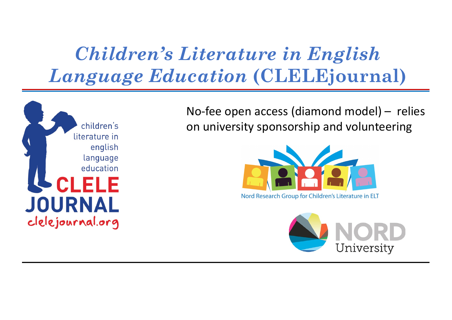## *Children's Literature in English Language Education* **(CLELEjournal)**



No-fee open access (diamond model) – relies on university sponsorship and volunteering



Nord Research Group for Children's Literature in ELT

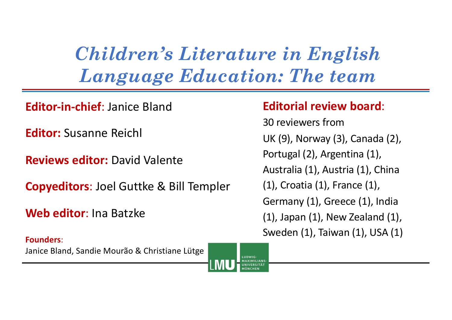*Children's Literature in English Language Education: The team*

**Editor-in-chief**: Janice Bland

**Editor:** Susanne Reichl

**Reviews editor:** David Valente

**Copyeditors**: Joel Guttke & Bill Templer

**Web editor**: Ina Batzke

**Founders**: Janice Bland, Sandie Mourão & Christiane Lütge

#### **Editorial review board**:

30 reviewers from UK (9), Norway (3), Canada (2), Portugal (2), Argentina (1), Australia (1), Austria (1), China (1), Croatia (1), France (1), Germany (1), Greece (1), India (1), Japan (1), New Zealand (1), Sweden (1), Taiwan (1), USA (1)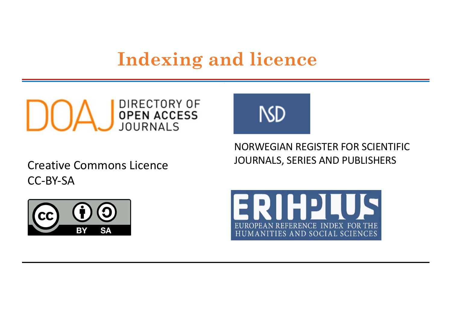### **Indexing and licence**



JOURNALS, SERIES AND PUBLISHERS Creative Commons Licence CC-BY-SA



NORWEGIAN REGISTER FOR SCIENTIFIC



**NSD**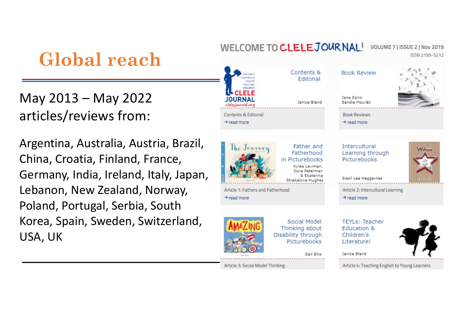# **Global reach**

May 2013 – May 2022 articles/reviews from:

Argentina, Australia, Austria, Brazil, China, Croatia, Finland, France, Germany, India, Ireland, Italy, Japan, Lebanon, New Zealand, Norway, Poland, Portugal, Serbia, South Korea, Spain, Sweden, Switzerland, USA, UK

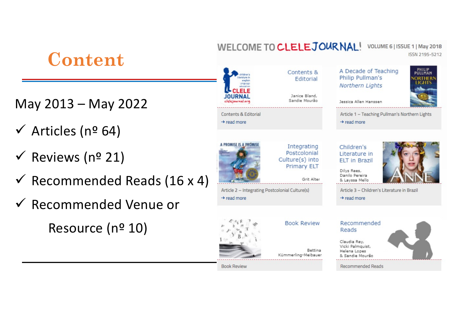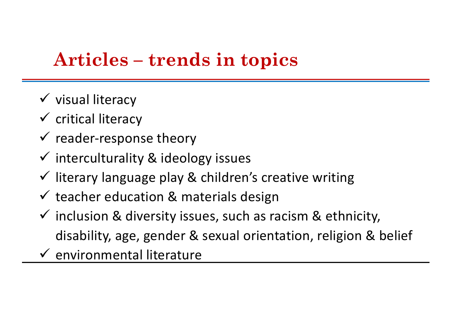## **Articles – trends in topics**

- $\checkmark$  visual literacy
- $\checkmark$  critical literacy
- $\checkmark$  reader-response theory
- $\checkmark$  interculturality & ideology issues
- $\checkmark$  literary language play & children's creative writing
- $\checkmark$  teacher education & materials design
- $\checkmark$  inclusion & diversity issues, such as racism & ethnicity, disability, age, gender & sexual orientation, religion & belief
- $\checkmark$  environmental literature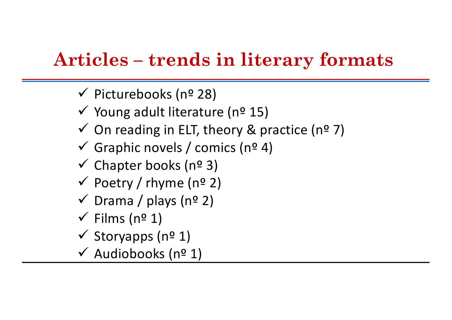## **Articles – trends in literary formats**

- $\checkmark$  Picturebooks (nº 28)
- $\checkmark$  Young adult literature (nº 15)
- $\checkmark$  On reading in ELT, theory & practice (nº 7)
- $\checkmark$  Graphic novels / comics (nº 4)
- $\checkmark$  Chapter books (nº 3)
- $\checkmark$  Poetry / rhyme (nº 2)
- $\checkmark$  Drama / plays (nº 2)
- $\checkmark$  Films (nº 1)
- $\checkmark$  Storyapps (nº 1)
- $\checkmark$  Audiobooks (nº 1)